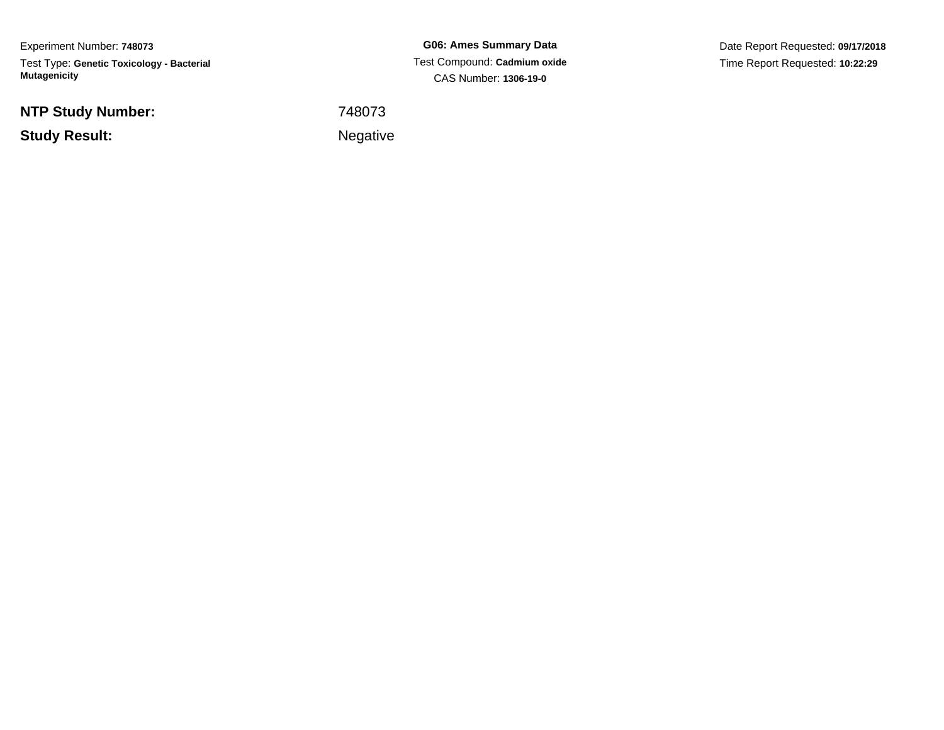Experiment Number: **748073**Test Type: **Genetic Toxicology - Bacterial Mutagenicity**

**NTP Study Number:**

**Study Result:**

**G06: Ames Summary Data** Test Compound: **Cadmium oxide**CAS Number: **1306-19-0**

Date Report Requested: **09/17/2018**Time Report Requested: **10:22:29**

<sup>748073</sup>

**Example 2** is a set of the set of the Negative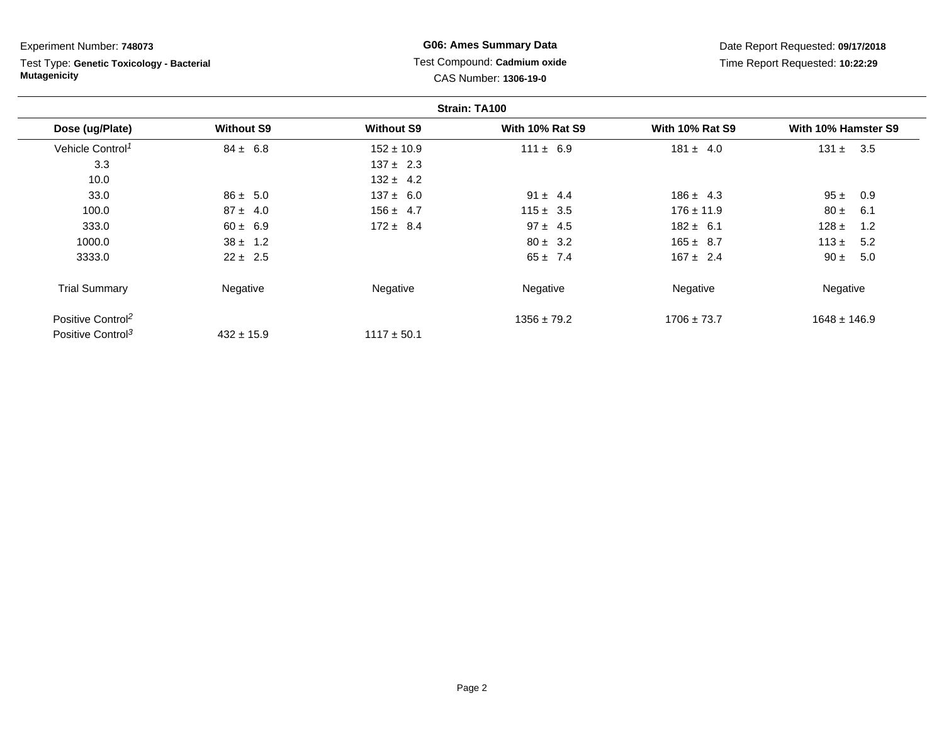Test Type: **Genetic Toxicology - Bacterial Mutagenicity**

**G06: Ames Summary Data** Test Compound: **Cadmium oxide**CAS Number: **1306-19-0**

|                               |                   |                   | Strain: TA100          |                        |                     |
|-------------------------------|-------------------|-------------------|------------------------|------------------------|---------------------|
| Dose (ug/Plate)               | <b>Without S9</b> | <b>Without S9</b> | <b>With 10% Rat S9</b> | <b>With 10% Rat S9</b> | With 10% Hamster S9 |
| Vehicle Control <sup>1</sup>  | $84 \pm 6.8$      | $152 \pm 10.9$    | $111 \pm 6.9$          | $181 \pm 4.0$          | 131 $\pm$<br>3.5    |
| 3.3                           |                   | $137 \pm 2.3$     |                        |                        |                     |
| 10.0                          |                   | $132 \pm 4.2$     |                        |                        |                     |
| 33.0                          | $86 \pm 5.0$      | $137 \pm 6.0$     | $91 \pm 4.4$           | $186 \pm 4.3$          | 95±<br>0.9          |
| 100.0                         | $87 \pm 4.0$      | $156 \pm 4.7$     | $115 \pm 3.5$          | $176 \pm 11.9$         | $80 \pm$<br>6.1     |
| 333.0                         | $60 \pm 6.9$      | $172 \pm 8.4$     | $97 \pm 4.5$           | $182 \pm 6.1$          | 128 $\pm$<br>1.2    |
| 1000.0                        | $38 \pm 1.2$      |                   | $80 \pm 3.2$           | $165 \pm 8.7$          | 113 $\pm$<br>5.2    |
| 3333.0                        | $22 \pm 2.5$      |                   | $65 \pm 7.4$           | $167 \pm 2.4$          | $90 \pm$<br>5.0     |
| <b>Trial Summary</b>          | Negative          | Negative          | Negative               | Negative               | Negative            |
| Positive Control <sup>2</sup> |                   |                   | $1356 \pm 79.2$        | $1706 \pm 73.7$        | $1648 \pm 146.9$    |
| Positive Control <sup>3</sup> | $432 \pm 15.9$    | $1117 \pm 50.1$   |                        |                        |                     |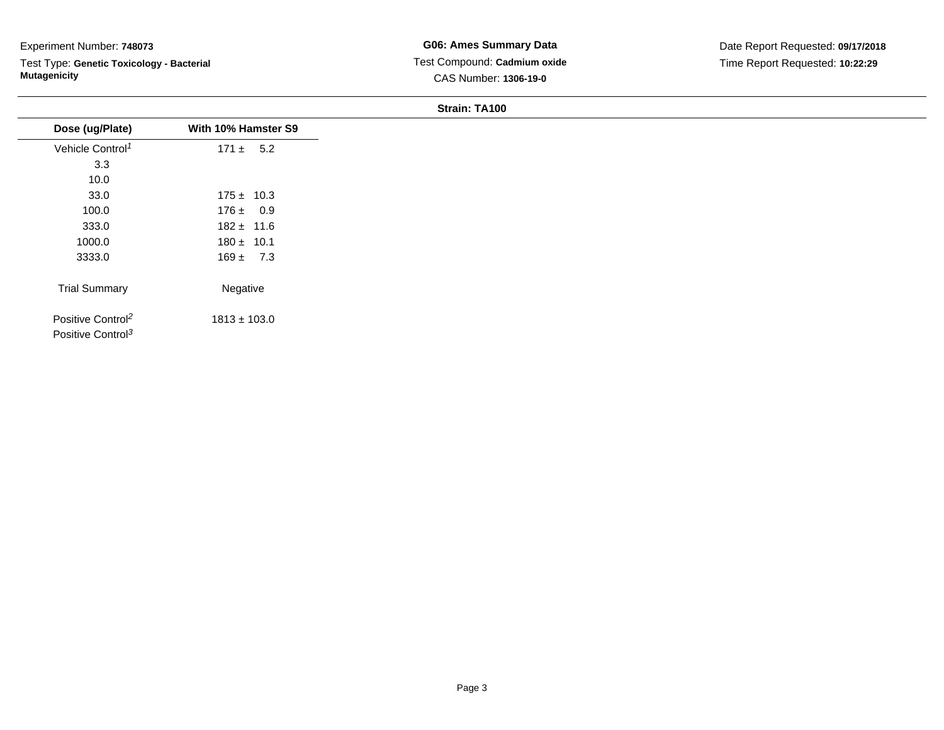Test Type: **Genetic Toxicology - Bacterial Mutagenicity**

| Dose (ug/Plate)                                                | With 10% Hamster S9 |
|----------------------------------------------------------------|---------------------|
| Vehicle Control <sup>1</sup>                                   | $171 \pm 5.2$       |
| 3.3                                                            |                     |
| 10.0                                                           |                     |
| 33.0                                                           | $175 \pm 10.3$      |
| 100.0                                                          | $176 \pm 0.9$       |
| 333.0                                                          | $182 \pm 11.6$      |
| 1000.0                                                         | $180 \pm 10.1$      |
| 3333.0                                                         | $169 \pm 7.3$       |
| <b>Trial Summary</b>                                           | Negative            |
| Positive Control <sup>2</sup><br>Positive Control <sup>3</sup> | $1813 \pm 103.0$    |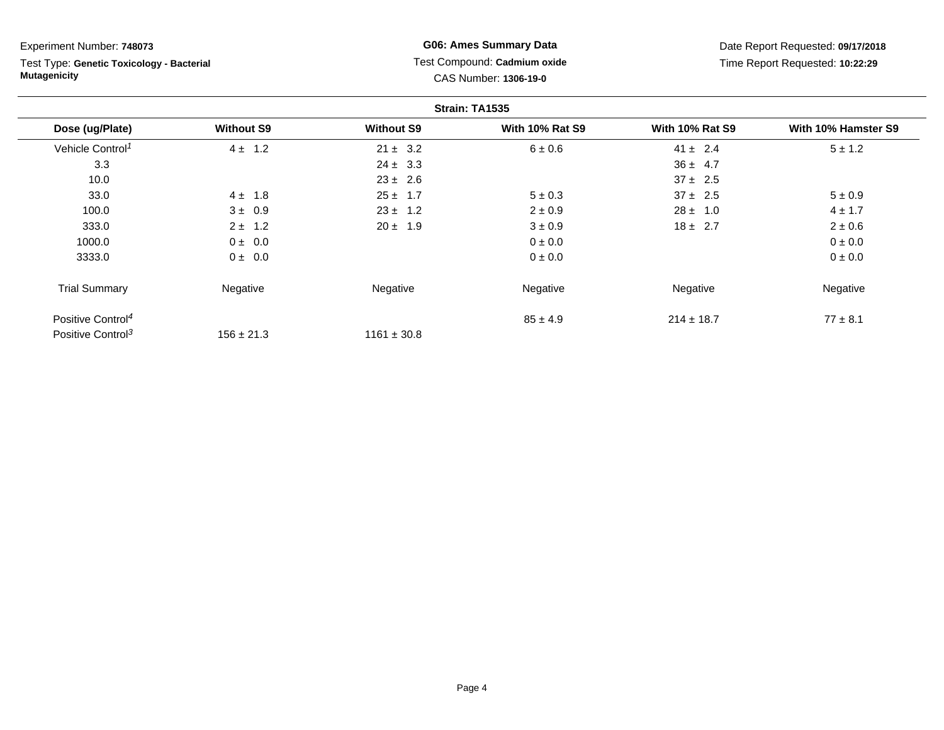Test Type: **Genetic Toxicology - Bacterial Mutagenicity**

**G06: Ames Summary Data** Test Compound: **Cadmium oxide**CAS Number: **1306-19-0**

|                               |                   |                   | Strain: TA1535         |                        |                     |
|-------------------------------|-------------------|-------------------|------------------------|------------------------|---------------------|
| Dose (ug/Plate)               | <b>Without S9</b> | <b>Without S9</b> | <b>With 10% Rat S9</b> | <b>With 10% Rat S9</b> | With 10% Hamster S9 |
| Vehicle Control <sup>1</sup>  | $4 \pm 1.2$       | $21 \pm 3.2$      | 6 ± 0.6                | $41 \pm 2.4$           | $5 \pm 1.2$         |
| 3.3                           |                   | $24 \pm 3.3$      |                        | $36 \pm 4.7$           |                     |
| 10.0                          |                   | $23 \pm 2.6$      |                        | $37 \pm 2.5$           |                     |
| 33.0                          | $4 \pm 1.8$       | $25 \pm 1.7$      | $5 \pm 0.3$            | $37 \pm 2.5$           | $5 \pm 0.9$         |
| 100.0                         | $3 \pm 0.9$       | $23 \pm 1.2$      | $2 \pm 0.9$            | $28 \pm 1.0$           | $4 \pm 1.7$         |
| 333.0                         | $2 \pm 1.2$       | $20 \pm 1.9$      | $3 \pm 0.9$            | $18 \pm 2.7$           | $2 \pm 0.6$         |
| 1000.0                        | $0 \pm 0.0$       |                   | $0 \pm 0.0$            |                        | 0 ± 0.0             |
| 3333.0                        | $0 \pm 0.0$       |                   | $0 \pm 0.0$            |                        | 0 ± 0.0             |
| <b>Trial Summary</b>          | Negative          | Negative          | Negative               | Negative               | Negative            |
| Positive Control <sup>4</sup> |                   |                   | $85 \pm 4.9$           | $214 \pm 18.7$         | $77 \pm 8.1$        |
| Positive Control <sup>3</sup> | $156 \pm 21.3$    | $1161 \pm 30.8$   |                        |                        |                     |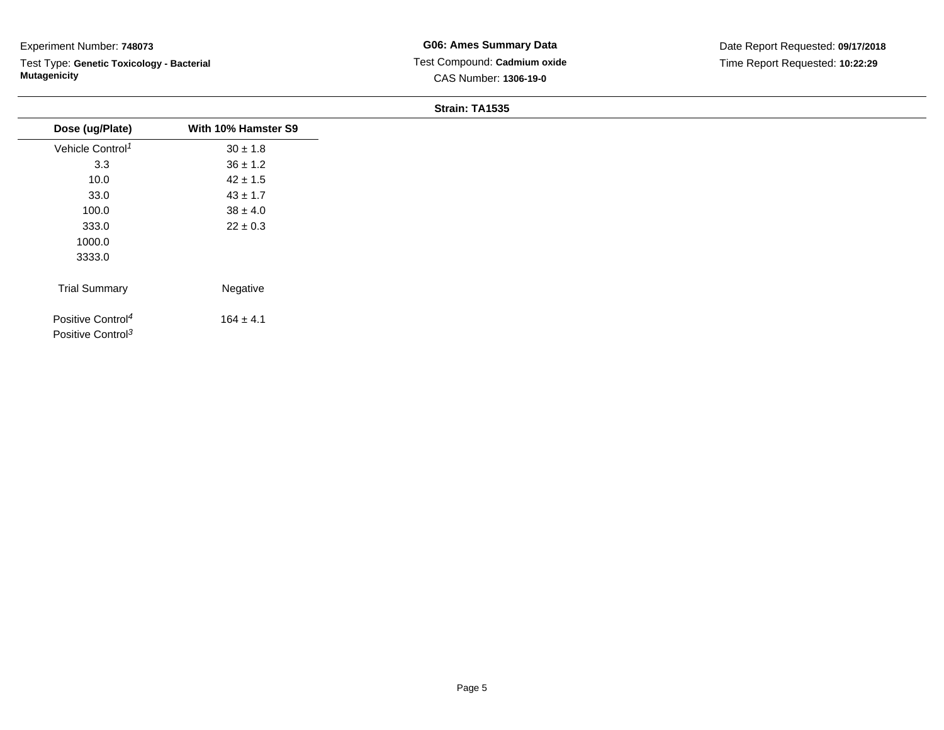Test Type: **Genetic Toxicology - Bacterial Mutagenicity**

| Dose (ug/Plate)               | With 10% Hamster S9 |
|-------------------------------|---------------------|
| Vehicle Control <sup>1</sup>  | $30 \pm 1.8$        |
| 3.3                           | $36 \pm 1.2$        |
| 10.0                          | $42 \pm 1.5$        |
| 33.0                          | $43 \pm 1.7$        |
| 100.0                         | $38 \pm 4.0$        |
| 333.0                         | $22 \pm 0.3$        |
| 1000.0                        |                     |
| 3333.0                        |                     |
|                               |                     |
| <b>Trial Summary</b>          | Negative            |
| Positive Control <sup>4</sup> | $164 \pm 4.1$       |
| Positive Control <sup>3</sup> |                     |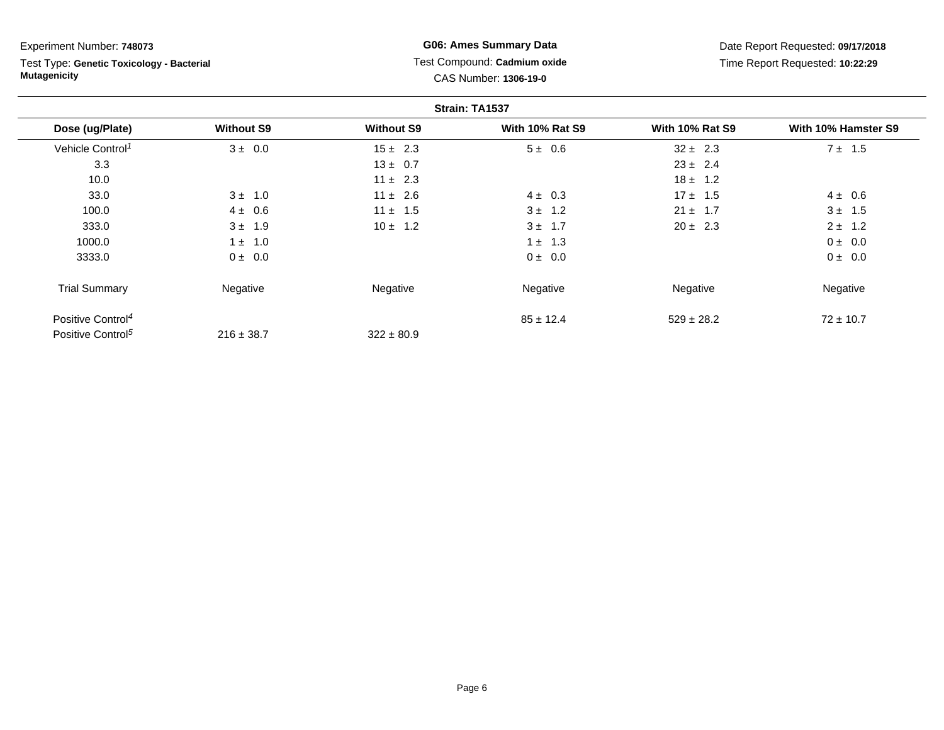Test Type: **Genetic Toxicology - Bacterial Mutagenicity**

**G06: Ames Summary Data** Test Compound: **Cadmium oxide**CAS Number: **1306-19-0**

|                               |                   |                   | Strain: TA1537         |                        |                     |
|-------------------------------|-------------------|-------------------|------------------------|------------------------|---------------------|
| Dose (ug/Plate)               | <b>Without S9</b> | <b>Without S9</b> | <b>With 10% Rat S9</b> | <b>With 10% Rat S9</b> | With 10% Hamster S9 |
| Vehicle Control <sup>1</sup>  | $3 \pm 0.0$       | $15 \pm 2.3$      | $5 \pm 0.6$            | $32 \pm 2.3$           | $7 \pm 1.5$         |
| 3.3                           |                   | $13 \pm 0.7$      |                        | $23 \pm 2.4$           |                     |
| 10.0                          |                   | $11 \pm 2.3$      |                        | $18 \pm 1.2$           |                     |
| 33.0                          | $3 \pm 1.0$       | $11 \pm 2.6$      | $4 \pm 0.3$            | $17 \pm 1.5$           | $4 \pm 0.6$         |
| 100.0                         | $4 \pm 0.6$       | $11 \pm 1.5$      | $3 \pm 1.2$            | $21 \pm 1.7$           | $3 \pm 1.5$         |
| 333.0                         | $3 \pm 1.9$       | $10 \pm 1.2$      | $3 \pm 1.7$            | $20 \pm 2.3$           | $2 \pm 1.2$         |
| 1000.0                        | $1 \pm 1.0$       |                   | $1 \pm 1.3$            |                        | $0 \pm 0.0$         |
| 3333.0                        | $0 \pm 0.0$       |                   | $0 \pm 0.0$            |                        | $0 \pm 0.0$         |
| <b>Trial Summary</b>          | Negative          | Negative          | Negative               | Negative               | Negative            |
| Positive Control <sup>4</sup> |                   |                   | $85 \pm 12.4$          | $529 \pm 28.2$         | $72 \pm 10.7$       |
| Positive Control <sup>5</sup> | $216 \pm 38.7$    | $322 \pm 80.9$    |                        |                        |                     |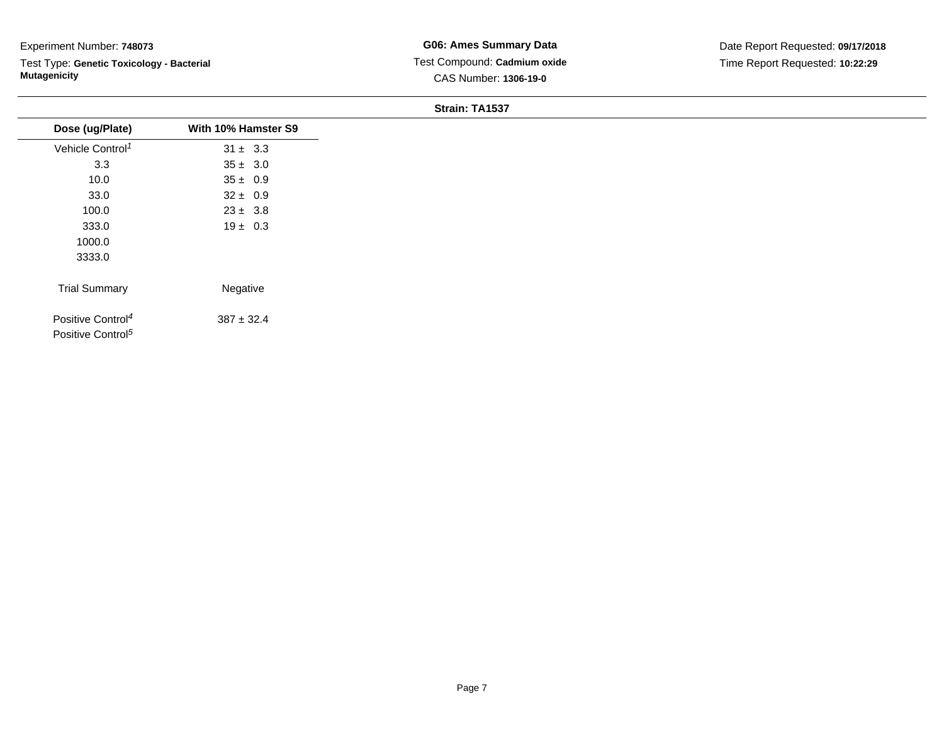Test Type: **Genetic Toxicology - Bacterial Mutagenicity**

| Dose (ug/Plate)                                                | With 10% Hamster S9 |
|----------------------------------------------------------------|---------------------|
| Vehicle Control <sup>1</sup>                                   | $31 \pm 3.3$        |
| 3.3                                                            | $35 \pm 3.0$        |
| 10.0                                                           | $35 \pm 0.9$        |
| 33.0                                                           | $32 \pm 0.9$        |
| 100.0                                                          | $23 \pm 3.8$        |
| 333.0                                                          | $19 \pm 0.3$        |
| 1000.0                                                         |                     |
| 3333.0                                                         |                     |
| <b>Trial Summary</b>                                           | Negative            |
| Positive Control <sup>4</sup><br>Positive Control <sup>5</sup> | $387 \pm 32.4$      |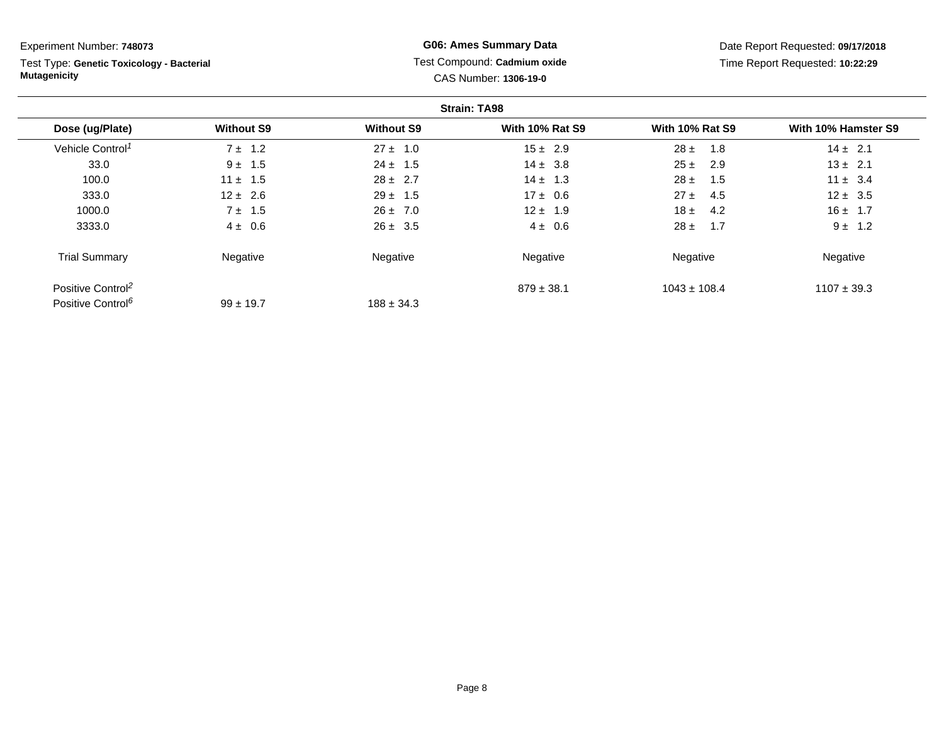Test Type: **Genetic Toxicology - Bacterial Mutagenicity**

## **G06: Ames Summary Data** Test Compound: **Cadmium oxide**CAS Number: **1306-19-0**

|                               |                   |                   | <b>Strain: TA98</b>    |                        |                     |
|-------------------------------|-------------------|-------------------|------------------------|------------------------|---------------------|
| Dose (ug/Plate)               | <b>Without S9</b> | <b>Without S9</b> | <b>With 10% Rat S9</b> | <b>With 10% Rat S9</b> | With 10% Hamster S9 |
| Vehicle Control <sup>1</sup>  | $7 \pm 1.2$       | $27 \pm 1.0$      | $15 \pm 2.9$           | $28 \pm$<br>1.8        | $14 \pm 2.1$        |
| 33.0                          | $9 \pm 1.5$       | $24 \pm 1.5$      | $14 \pm 3.8$           | $25 \pm$<br>2.9        | $13 \pm 2.1$        |
| 100.0                         | $11 \pm 1.5$      | $28 \pm 2.7$      | $14 \pm 1.3$           | $28 \pm$<br>1.5        | $11 \pm 3.4$        |
| 333.0                         | $12 \pm 2.6$      | $29 \pm 1.5$      | $17 \pm 0.6$           | $27 \pm$<br>4.5        | $12 \pm 3.5$        |
| 1000.0                        | $7 \pm 1.5$       | $26 \pm 7.0$      | $12 \pm 1.9$           | 18±<br>4.2             | $16 \pm 1.7$        |
| 3333.0                        | $4 \pm 0.6$       | $26 \pm 3.5$      | $4 \pm 0.6$            | $28 \pm$<br>1.7        | $9 \pm 1.2$         |
| <b>Trial Summary</b>          | Negative          | Negative          | Negative               | Negative               | Negative            |
| Positive Control <sup>2</sup> |                   |                   | $879 \pm 38.1$         | $1043 \pm 108.4$       | $1107 \pm 39.3$     |
| Positive Control <sup>6</sup> | $99 \pm 19.7$     | $188 \pm 34.3$    |                        |                        |                     |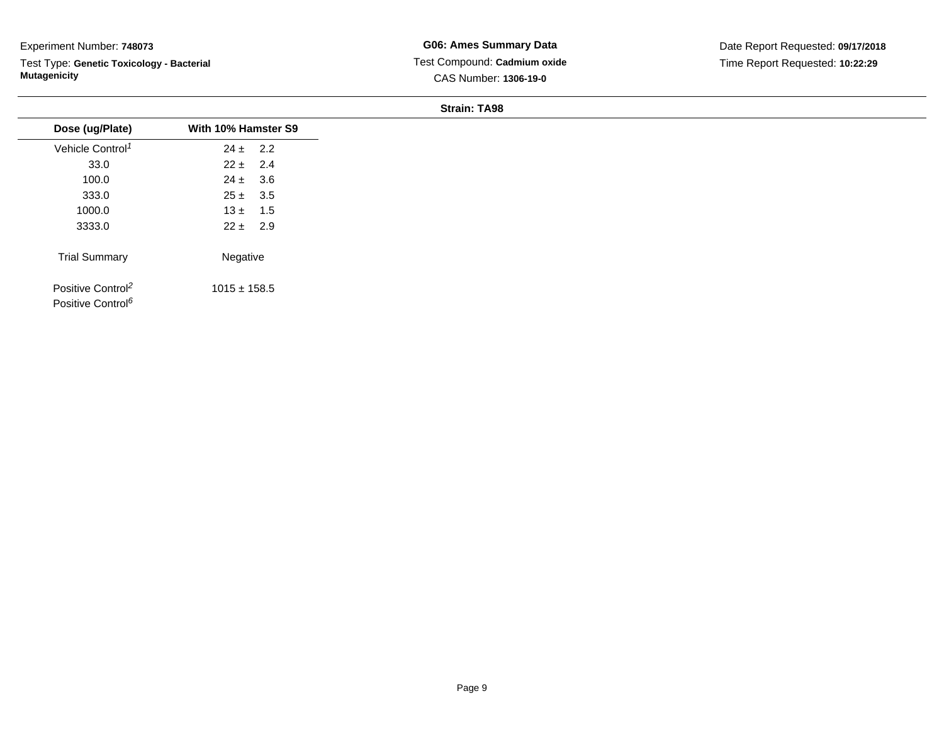Test Type: **Genetic Toxicology - Bacterial Mutagenicity**

**G06: Ames Summary Data** Test Compound: **Cadmium oxide**CAS Number: **1306-19-0**

| Dose (ug/Plate)<br>Vehicle Control <sup>1</sup><br>33.0<br>100.0<br>333.0<br>1000.0<br>3333.0 | With 10% Hamster S9<br>$24 \pm 2.2$<br>$22 \pm 2.4$ |  |
|-----------------------------------------------------------------------------------------------|-----------------------------------------------------|--|
|                                                                                               |                                                     |  |
|                                                                                               |                                                     |  |
|                                                                                               |                                                     |  |
|                                                                                               | $24 \pm 3.6$                                        |  |
|                                                                                               | $25 \pm 3.5$                                        |  |
|                                                                                               | $13 \pm 1.5$                                        |  |
|                                                                                               | $22 \pm 2.9$                                        |  |
| <b>Trial Summary</b>                                                                          | Negative                                            |  |
| Positive Control <sup>2</sup><br>Positive Control <sup>6</sup>                                | $1015 \pm 158.5$                                    |  |